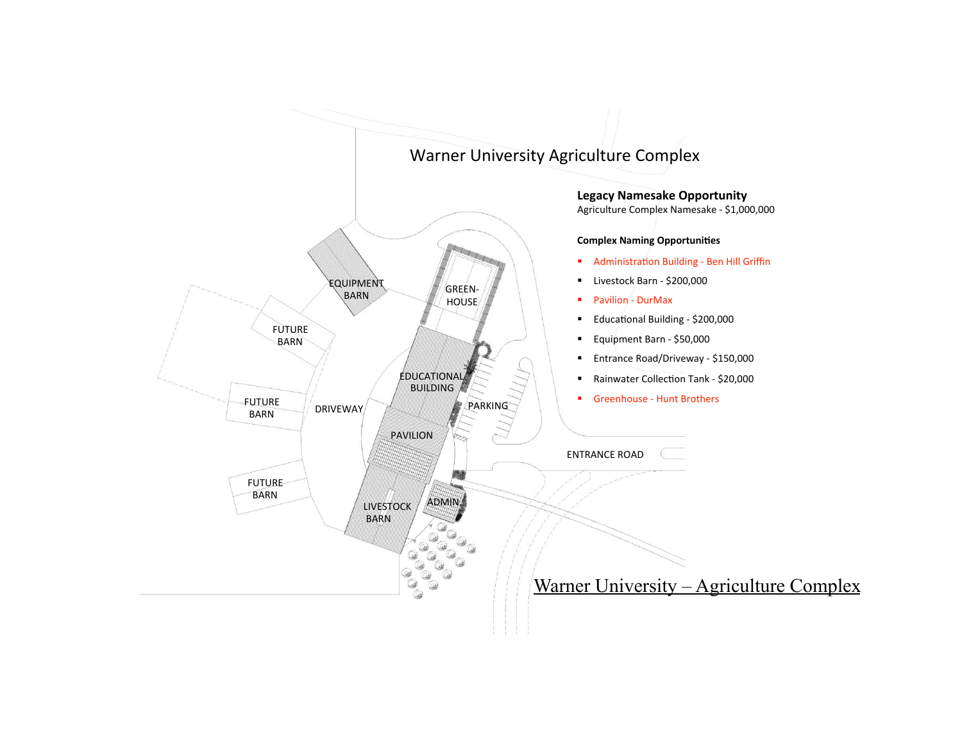